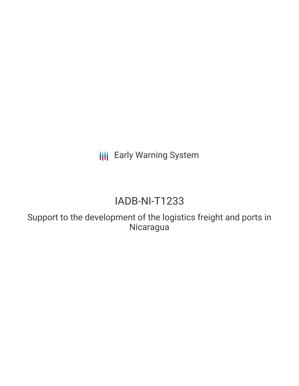**III** Early Warning System

# IADB-NI-T1233

Support to the development of the logistics freight and ports in Nicaragua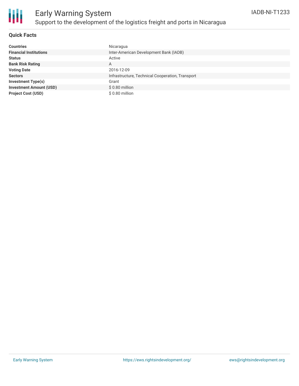

# Early Warning System Support to the development of the logistics freight and ports in Nicaragua

### **Quick Facts**

| <b>Countries</b>               | Nicaragua                                        |
|--------------------------------|--------------------------------------------------|
| <b>Financial Institutions</b>  | Inter-American Development Bank (IADB)           |
| <b>Status</b>                  | Active                                           |
| <b>Bank Risk Rating</b>        | A                                                |
| <b>Voting Date</b>             | 2016-12-09                                       |
| <b>Sectors</b>                 | Infrastructure, Technical Cooperation, Transport |
| <b>Investment Type(s)</b>      | Grant                                            |
| <b>Investment Amount (USD)</b> | $$0.80$ million                                  |
| <b>Project Cost (USD)</b>      | \$0.80 million                                   |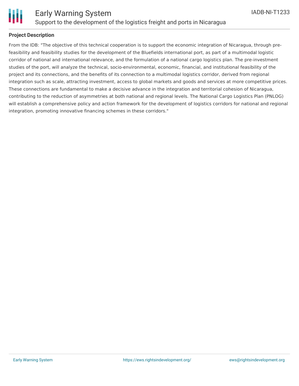

### **Project Description**

From the IDB: "The objective of this technical cooperation is to support the economic integration of Nicaragua, through prefeasibility and feasibility studies for the development of the Bluefields international port, as part of a multimodal logistic corridor of national and international relevance, and the formulation of a national cargo logistics plan. The pre-investment studies of the port, will analyze the technical, socio-environmental, economic, financial, and institutional feasibility of the project and its connections, and the benefits of its connection to a multimodal logistics corridor, derived from regional integration such as scale, attracting investment, access to global markets and goods and services at more competitive prices. These connections are fundamental to make a decisive advance in the integration and territorial cohesion of Nicaragua, contributing to the reduction of asymmetries at both national and regional levels. The National Cargo Logistics Plan (PNLOG) will establish a comprehensive policy and action framework for the development of logistics corridors for national and regional integration, promoting innovative financing schemes in these corridors."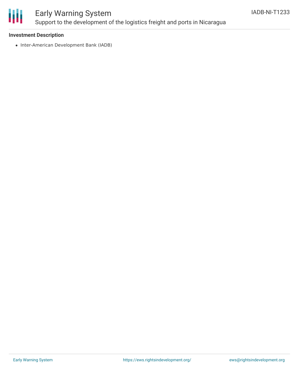

# Early Warning System Support to the development of the logistics freight and ports in Nicaragua

### **Investment Description**

• Inter-American Development Bank (IADB)